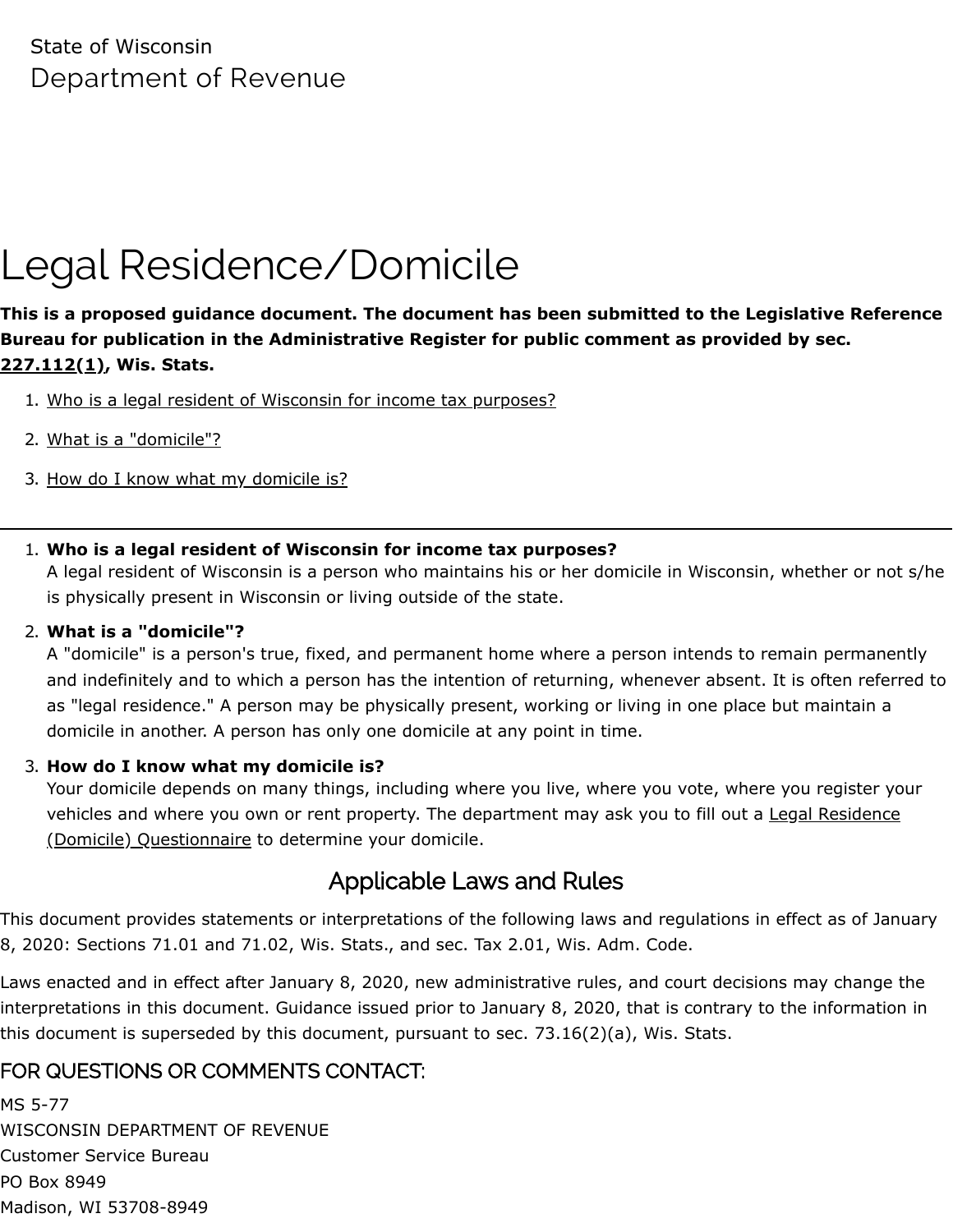State of Wisconsin Department of Revenue

# Legal Residence/Domicile

**This is a proposed guidance document. The document has been submitted to the Legislative Reference Bureau for publication in the Administrative Register for public comment as provided by sec. [227.112\(1\),](https://docs.legis.wisconsin.gov/statutes/statutes/227/II/112/1) Wis. Stats.**

- 1. [Who is a legal resident of Wisconsin for income tax purposes?](#page-0-0)
- 2. [What is a "domicile"?](#page-0-1)
- 3. [How do I know what my domicile is?](#page-0-2)
- <span id="page-0-0"></span>1. **Who is a legal resident of Wisconsin for income tax purposes?**

A legal resident of Wisconsin is a person who maintains his or her domicile in Wisconsin, whether or not s/he is physically present in Wisconsin or living outside of the state.

#### <span id="page-0-1"></span>2. **What is a "domicile"?**

A "domicile" is a person's true, fixed, and permanent home where a person intends to remain permanently and indefinitely and to which a person has the intention of returning, whenever absent. It is often referred to as "legal residence." A person may be physically present, working or living in one place but maintain a domicile in another. A person has only one domicile at any point in time.

#### <span id="page-0-2"></span>3. **How do I know what my domicile is?**

Your domicile depends on many things, including where you live, where you vote, where you register your [vehicles and where you own or rent property. The department may ask you to fill out a Legal Residence](https://www.revenue.wi.gov/TaxForms2017through2019/2019-Form1NPR-inst.pdf#page=61) (Domicile) Questionnaire to determine your domicile.

## Applicable Laws and Rules

This document provides statements or interpretations of the following laws and regulations in effect as of January 8, 2020: Sections 71.01 and 71.02, Wis. Stats., and sec. Tax 2.01, Wis. Adm. Code.

Laws enacted and in effect after January 8, 2020, new administrative rules, and court decisions may change the interpretations in this document. Guidance issued prior to January 8, 2020, that is contrary to the information in this document is superseded by this document, pursuant to sec. 73.16(2)(a), Wis. Stats.

### FOR QUESTIONS OR COMMENTS CONTACT:

MS 5-77 WISCONSIN DEPARTMENT OF REVENUE Customer Service Bureau PO Box 8949 Madison, WI 53708-8949